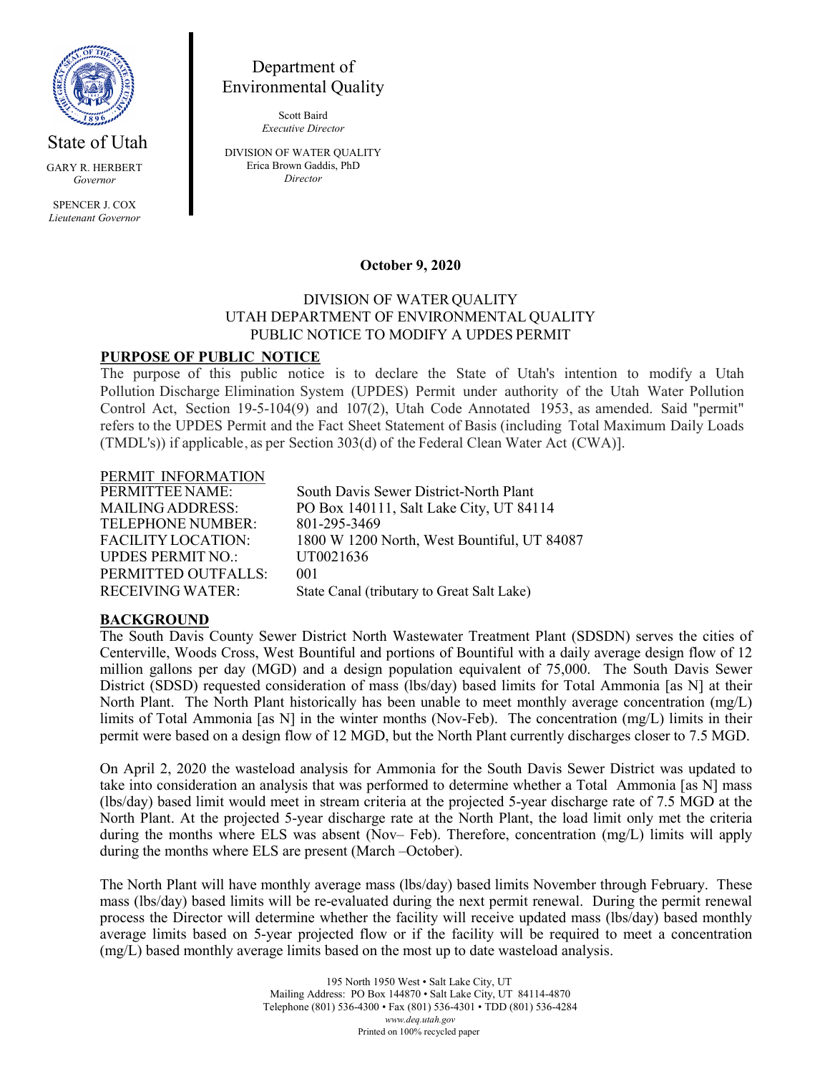

State of Utah GARY R. HERBERT *Governor*

SPENCER J. COX *Lieutenant Governor*

# Department of Environmental Quality

Scott Baird *Executive Director*

DIVISION OF WATER QUALITY Erica Brown Gaddis, PhD *Director*

#### **October 9, 2020**

#### DIVISION OF WATER QUALITY UTAH DEPARTMENT OF ENVIRONMENTAL QUALITY PUBLIC NOTICE TO MODIFY A UPDES PERMIT

### **PURPOSE OF PUBLIC NOTICE**

The purpose of this public notice is to declare the State of Utah's intention to modify a Utah Pollution Discharge Elimination System (UPDES) Permit under authority of the Utah Water Pollution Control Act, Section 19-5-104(9) and 107(2), Utah Code Annotated 1953, as amended. Said "permit" refers to the UPDES Permit and the Fact Sheet Statement of Basis (including Total Maximum Daily Loads (TMDL's)) if applicable, as per Section 303(d) of the Federal Clean Water Act (CWA)].

# PERMIT INFORMATION<br>PERMITTEE NAME:

TELEPHONE NUMBER: 801-295-3469 UPDES PERMIT NO.: UT0021636 PERMITTED OUTFALLS: 001 RECEIVING WATER: State Canal (tributary to Great Salt Lake)

South Davis Sewer District-North Plant MAILING ADDRESS: PO Box 140111, Salt Lake City, UT 84114 FACILITY LOCATION: 1800 W 1200 North, West Bountiful, UT 84087

#### **BACKGROUND**

The South Davis County Sewer District North Wastewater Treatment Plant (SDSDN) serves the cities of Centerville, Woods Cross, West Bountiful and portions of Bountiful with a daily average design flow of 12 million gallons per day (MGD) and a design population equivalent of 75,000. The South Davis Sewer District (SDSD) requested consideration of mass (lbs/day) based limits for Total Ammonia [as N] at their North Plant. The North Plant historically has been unable to meet monthly average concentration (mg/L) limits of Total Ammonia [as N] in the winter months (Nov-Feb). The concentration (mg/L) limits in their permit were based on a design flow of 12 MGD, but the North Plant currently discharges closer to 7.5 MGD.

On April 2, 2020 the wasteload analysis for Ammonia for the South Davis Sewer District was updated to take into consideration an analysis that was performed to determine whether a Total Ammonia [as N] mass (lbs/day) based limit would meet in stream criteria at the projected 5-year discharge rate of 7.5 MGD at the North Plant. At the projected 5-year discharge rate at the North Plant, the load limit only met the criteria during the months where ELS was absent (Nov– Feb). Therefore, concentration (mg/L) limits will apply during the months where ELS are present (March –October).

The North Plant will have monthly average mass (lbs/day) based limits November through February. These mass (lbs/day) based limits will be re-evaluated during the next permit renewal. During the permit renewal process the Director will determine whether the facility will receive updated mass (lbs/day) based monthly average limits based on 5-year projected flow or if the facility will be required to meet a concentration (mg/L) based monthly average limits based on the most up to date wasteload analysis.